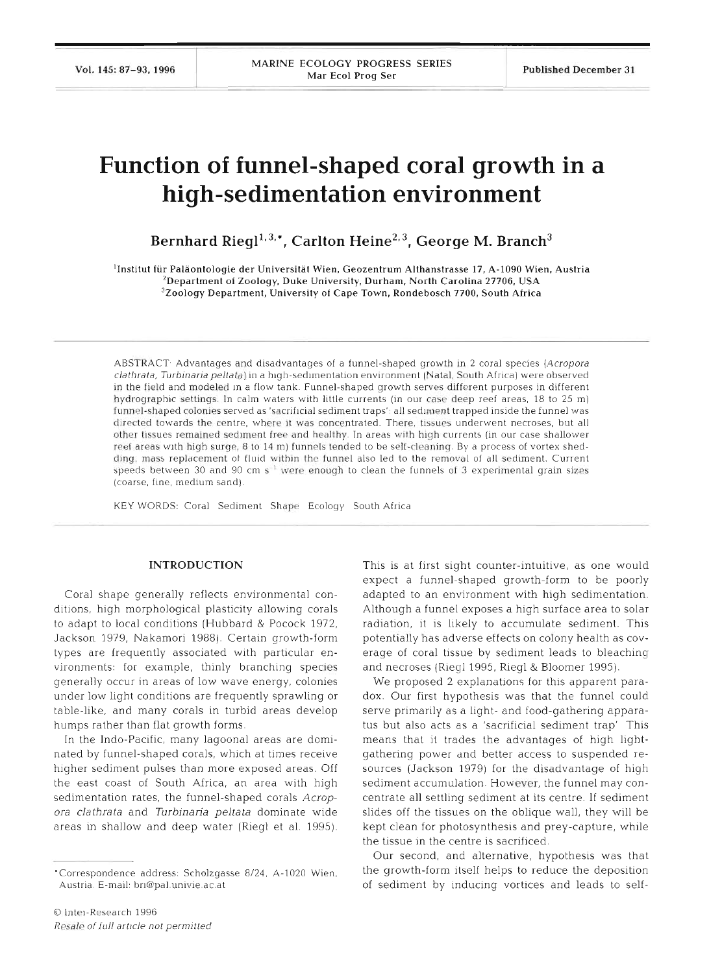Vol. 145: 87-93, 1996

p. --

# **Function of funnel-shaped coral growth in a high-sedimentation environment**

Bernhard Riegl<sup>1,3,\*</sup>, Carlton Heine<sup>2,3</sup>, George M. Branch<sup>3</sup>

<sup>1</sup>Institut für Paläontologie der Universität Wien, Geozentrum Althanstrasse 17, A-1090 Wien, Austria 2Department of Zoology, Duke University, Durham, North Carolina 27706, USA 'Zoology Department, University of Cape Town, Rondebosch 7700, South Africa

ABSTRACT Advantages and disadvantages of a funnel-shaped growth in 2 coral species (Acropora clathrata, Turbinaria peltata) in a high-sedimentation environment (Natal, South Africa) were observed in the field and modeled in a flow tank. Funnel-shaped growth serves different purposes in different hydrographic settings. In calm waters with little currents (in our case deep reef areas, 18 to 25 m) funnel-shaped colonies served as 'sacrificial sediment traps': all sediment trapped inside the funnel was directed towards the centre, where it was concentrated. There, tissues underwent necroses, but all other tissues remained sediment free and healthy. In areas with high currents (in our case shallower reef areas with high surge, 8 to 14 m) funnels tended to be self-cleaning. By a process of vortex shedding, mass replacement of fluid within the funnel also led to the removal of all sediment. Current speeds between 30 and 90 cm  $s^{-1}$  were enough to clean the funnels of 3 experimental grain sizes (coarse, fine, medium sand).

KEY WORDS: Coral Sediment Shape Ecology South Africa

# **INTRODUCTION**

Coral shape generally reflects environmental conditions, high morphological plasticity allowing corals to adapt to local conditions (Hubbard & Pocock 1972, Jackson 1979, Nakamori 1988). Certain growth-form types are frequently associated with particular environments: for example, thinly branching species generally occur in areas of low wave energy, colonies under low light conditions are frequently sprawling or table-like, and many corals in turbid areas develop humps rather than flat growth forms

In the Indo-Pacific, many lagoonal areas are dominated by funnel-shaped corals, which at times receive higher sediment pulses than more exposed areas. Off the east coast of South Africa, an area with high sedimentation rates, the funnel-shaped corals *Acropora cldthrata* and *Turb~nana peltata* dominate wide areas in shallow and deep water (Riegl et al. 1995).

This is at first sight counter-intuitive, as one would expect a funnel-shaped growth-form to be poorly adapted to an environment with high sedimentation. Although a funnel exposes a high surface area to solar radiation, it is likely to accumulate sediment. This potentially has adverse effects on colony health as coverage of coral tissue by sediment leads to bleaching and necroses (Riegl 1995, Riegl & Bloomer 1995).

We proposed 2 explanations for this apparent paradox. Our first hypothesis was that the funnel could serve primarily as a light- and food-gathering apparatus but also acts as a 'sacrificial sediment trap' This means that it trades the advantages of high lightgathering power and better access to suspended resources (Jackson 1979) for the disadvantage of high sediment accumulation. However, the funnel may concentrate all settling sediment at its centre. If sediment slides off the tissues on the oblique wall, they will be kept clean for photosynthesis and prey-capture, while the tissue in the centre is sacrificed.

Our second, and alternative, hypothesis was that the growth-form itself helps to reduce the deposition of sediment by inducing vortices and leads to self-

<sup>&#</sup>x27;Correspondence address: Scholzgasse 8/24, A-1020 Wien, Austria. E-mail: bri@pal.univie.ac.at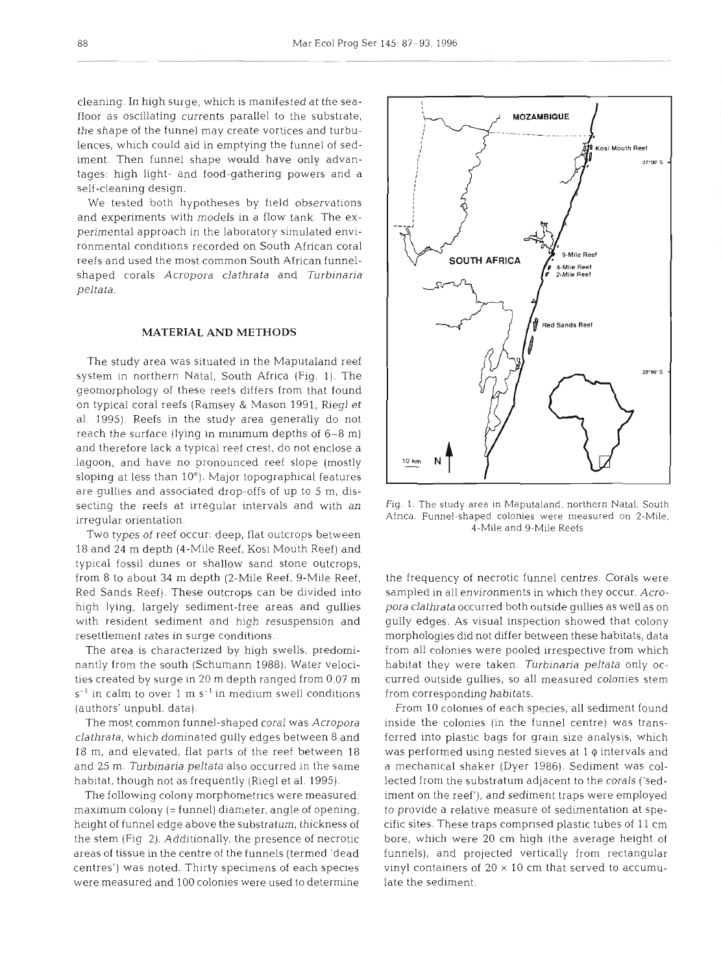cleaning. In high surge, which is manifested at the seafloor as oscillating currents parallel to the substrate, the shape of the funnel may create vortices and turbulences, which could aid in emptying the funnel of sediment. Then funnel shape would have only advantages: high light- and food-gathering powers and a self-cleaning design.

We tested both hypotheses by field observations and experiments with models in a flow tank. The experimental approach in the laboratory simulated environmental conditions recorded on South African coral reefs and used the most common South African funnelshaped corals *Acropora clathrata* and *Turbinaria peltata.* 

# **MATERIAL AND METHODS**

The study area was situated in the Maputaland reef system in northern Natal, South Africa (Fig. 1). The geomorphology of these reefs differs from that found on typical coral reefs (Ramsey & Mason 1991, Riegl et al. 1995). Reefs in the study area generally do not reach the surface (lying in minimum depths of 6-8 m) and therefore lack a typical reef crest, do not enclose a lagoon, and have no pronounced reef slope (mostly sloping at less than 10"). Major topographical features are gullies and associated drop-offs of up to 5 m, dissecting the reefs at irregular intervals and with an Fig. 1. The study area in Maputaland, northern Natal, South<br>Africa. Funnel-shaped colonies were measured on 2-Mile,

18 and 24 m depth (4-Mile Reef, Kosi Mouth Reef) and typical fossil dunes or shallow sand stone outcrops, from 8 to about 34 m depth (2-Mile Reef, 9-Mile Reef, Red Sands Reef). These outcrops can be divided into high lying, largely sediment-free areas and gullies with resident sediment and high resuspension and resettlement rates in surge conditions.

The area is characterized by high swells, predominantly from the south (Schumann 1988). Water velocities created by surge in 20 m depth ranged from 0.07 m  $s^{-1}$  in calm to over 1 m  $s^{-1}$  in medium swell conditions (authors' unpubl. data).

The most common funnel-shaped coral was *Acropora clathrata,* which dominated gully edges between 8 and 18 m, and elevated, flat parts of the reef between 18 and 25 m. *Turbinaria peltata* also occurred in the same habitat, though not as frequently (Riegl et al. 1995).

The following colony morphometrics were measured: maximum colony (= funnel] diameter, angle of opening, height of funnel edge above the substratum, thickness of the stem (Fig 2). Additionally, the presence of necrotic areas of tissue in the centre of the funnels (termed 'dead centres') was noted. Thirty specimens of each species were measured and 100 colonies were used to determine



irregular orientation. Afnca. Funnel-shaped colonies were measured on 2-Mile, 4-Mile and 9-Mile Reefs Two types of reef occur: deep, flat outcrops between

the frequency of necrotic funnel centres. Corals were sampled in all environments in which they occur. *Acropora clathrata* occurred both outside gullies as well as on gully edges. As visual inspection showed that colony morphologies did not differ between these habitats, data from all colonies were pooled irrespective from which habitat they were taken. *Turbinaria peltata* only occurred outside gullies, so all measured colonies stem from corresponding habitats.

From 10 colonies of each species, all sediment found inside the colonies (in the funnel centre) was transferred into plastic bags for grain size analysis, which was performed using nested sieves at  $1 \phi$  intervals and a mechanical shaker (Dyer 1986). Sediment was collected from the substratum adjacent to the corals ('sediment on the reef'), and sediment traps were employed to provide a relative measure of sedimentation at specific sites. These traps comprised plastic tubes of 11 cm bore, which were 20 cm high (the average height of funnels), and projected vertically from rectangular vinyl containers of  $20 \times 10$  cm that served to accumulate the sediment.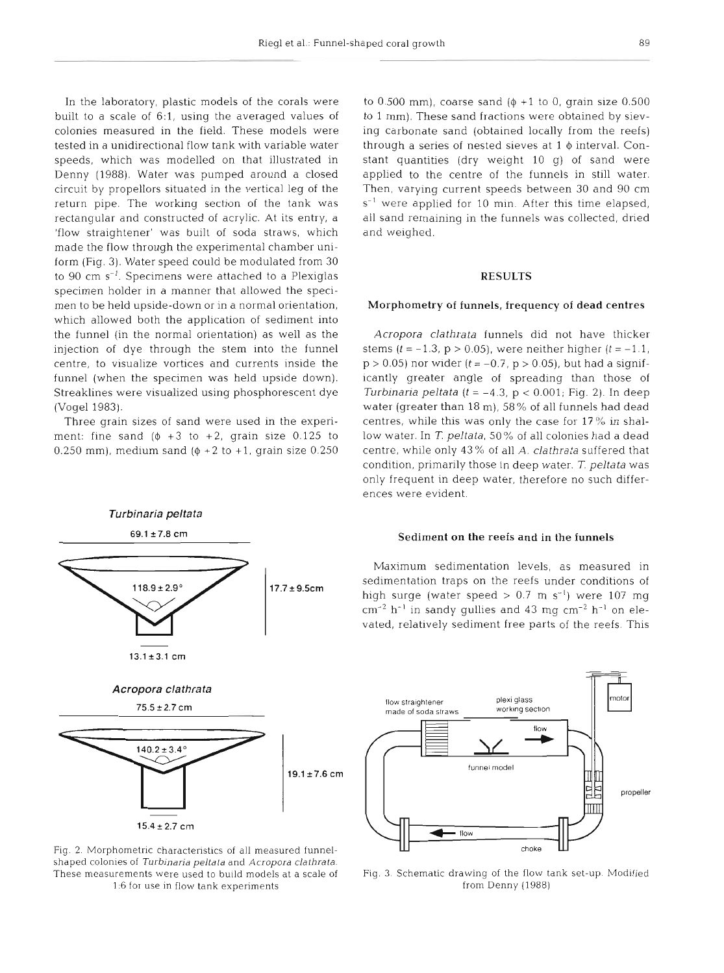In the laboratory, plastic models of the corals were built to a scale of 6:1, using the averaged values of colonies measured in the field. These models were tested in a unidirectional flow tank with variable water speeds, which was modelled on that illustrated in Denny (1988). Water was pumped around a closed circuit by propellors situated in the vertical leg of the return pipe. The working section of the tank was rectangular and constructed of acrylic. At its entry, a 'flow straightener' was built of soda straws, which made the flow through the experimental chamber uniform (Fig. 3). Water speed could be modulated from 30 to 90 cm  $s^{-1}$ . Specimens were attached to a Plexiglas specimen holder in a manner that allowed the specimen to be held upside-down or in a normal orientation, which allowed both the application of sediment into the funnel (in the normal orientation) as well as the injection of dye through the stem into the funnel centre, to visualize vortices and currents inside the funnel (when the specimen was held upside down). Streaklines were visualized using phosphorescent dye (Vogel 1983).

Three grain sizes of sand were used in the experiment: fine sand  $(\phi +3$  to  $+2$ , grain size 0.125 to 0.250 mm), medium sand  $(\phi + 2 \text{ to } +1)$ , grain size 0.250

 $17.7 \pm 9.5$ cm

Turbinaria peltata 69.1 **2** 7.8 **cm** 

 $118.9 \pm 2.9^{\circ}$ 

Acropora clathrata 75.5 *2* 2.7 cm

 $140.2 \pm 3.4^{\circ}$ 

 $13.1 \pm 3.1$  cm

15.4 *2* 2.7 cm

to 0.500 mm), coarse sand ( $\phi$  +1 to 0, grain size 0.500<br>to 1 mm). These sand fractions were obtained by siev-<br>ing carbonate sand (obtained locally from the reefs)<br>through a series of nested sieves at 1  $\phi$  interval. Co

## **RESULTS**

Morphometry of funnels, frequency of dead centres<br>
Acropora clathrata funnels did not have thicker<br>
stems (t = -1.3, p > 0.05), were neither higher (t = -1.1,<br>
p > 0.05) nor wider (t = -0.7, p > 0.05), but had a signif-<br>



Fig. 2. Morphometric characteristics of all measured funnelshaped colonies of *Turbinaria peltata* and Acropora clathrata. These measurements were used to build models at a scale of Fig. 3. Schematic drawing of the flow tank set-up. Modified 1:6 for use in flow tank experiments from Denny (1988)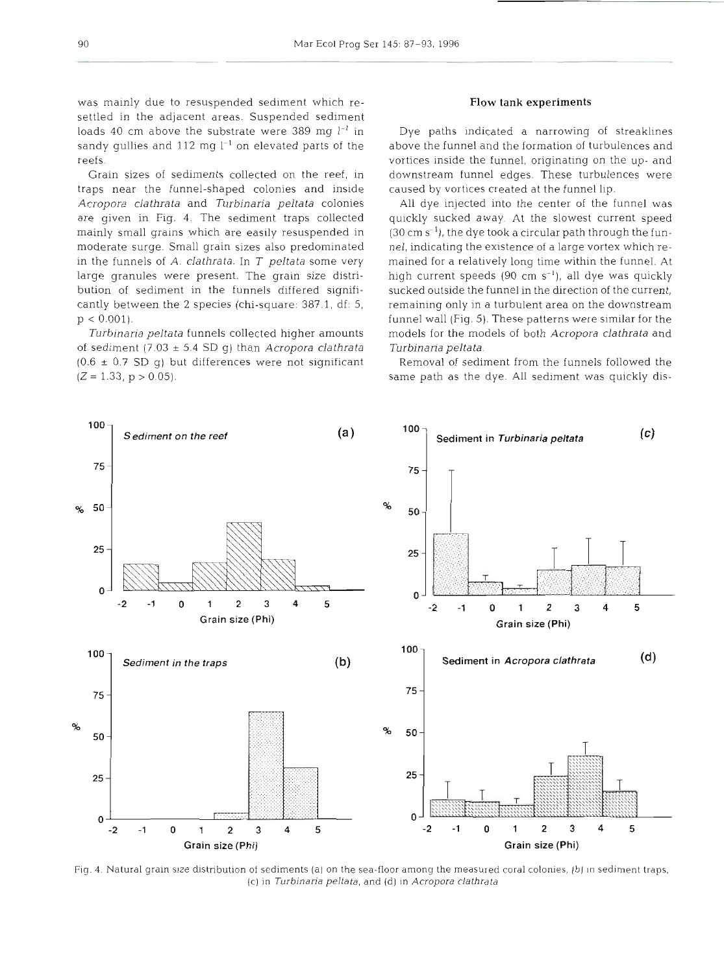was mainly due to resuspended sediment which resettled in the adjacent areas. Suspended sediment loads 40 cm above the substrate were 389 mg  $l^{-1}$  in sandy gullies and 112 mg  $l^{-1}$  on elevated parts of the reefs.

Grain sizes of sediments collected on the reef, in traps near the funnel-shaped colonies and inside Acropora clathrata and Turbinaria peltata colonies are given in Fig. 4. The sediment traps collected mainly small grains which are easily resuspended in moderate surge. Small grain sizes also predominated in the funnels of A. clathrata. In *T* peltata some very large granules were present. The grain size distribution of sediment in the funnels differed significantly between the 2 species (chi-square: 387.1, df: 5,  $p < 0.001$ ).

Turbinaria peltata funnels collected higher amounts of sediment (7.03  $\pm$  5.4 SD g) than Acropora clathrata  $(0.6 \pm 0.7$  SD g) but differences were not significant  $(Z = 1.33, p > 0.05)$ .

# **Flow** tank experiments

Dye paths indicated a narrowing of streaklines above the funnel and the formation of turbulences and vortices inside the funnel, originating on the up- and downstream funnel edges. These turbulences were caused by vortices created at the funnel lip.

All dye injected into the center of the funnel was quickly sucked away. At the slowest current speed  $(30 \text{ cm s}^{-1})$ , the dye took a circular path through the funnel, indicating the existence of a large vortex which remained for a relatively long time within the funnel. At high current speeds (90 cm  $s^{-1}$ ), all dye was quickly sucked outside the funnel in the direction of the current, remaining only in a turbulent area on the downstream funnel wall (Fig. 5). These patterns were similar for the models for the models of both Acropora clathrata and Turbinaria peltata.

Removal of sediment from the funnels followed the same path as the dye. All sediment was quickly dis-



Fig. 4. Natural grain slze distribution of sediments (a) on the sea-floor among the measured coral colonies, (b) In sediment traps (c) in *Turbinaria peltata,* and (d) in *Acropora clathrata*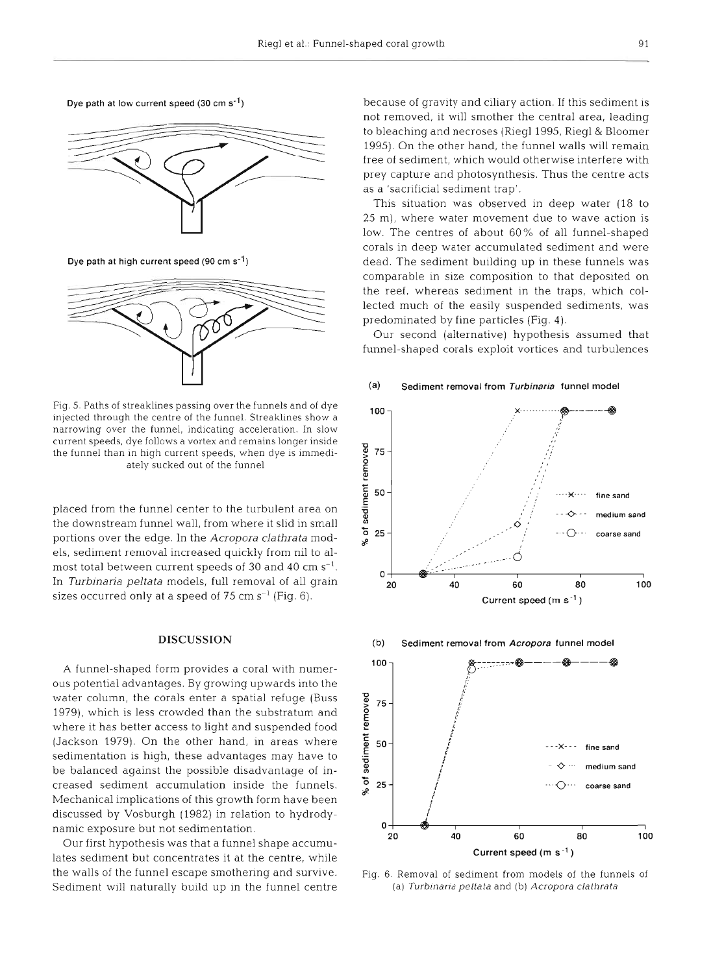**Dye path at low current speed (30 cm S-')** 



**Dye path at high current speed (90 cm S-')** 



Fig. 5. Paths of streaklines passing over the funnels and of dye injected through the centre of the funnel. Streaklines show a narrowing over the funnel, indicating acceleration. In slow current speeds, dye follows a vortex and remains longer inside the funnel than in high current speeds, when dye is immediately sucked out of the funnel

placed from the funnel center to the turbulent area on the downstream funnel wall, from where it slid in small portions over the edge. In the *Acropora clathrata* models, sediment removal increased quickly from nil to almost total between current speeds of 30 and 40 cm  $s^{-1}$ . In *Turbinaria peltata* models, full removal of all grain sizes occurred only at a speed of 75 cm  $s^{-1}$  (Fig. 6).

# **DISCUSSION**

A funnel-shaped form provides a coral with numerous potential advantages. By growing upwards into the water column, the corals enter a spatial refuge (Buss 1979), which is less crowded than the substratum and where it has better access to light and suspended food (Jackson 1979). On the other hand, in areas where sedimentation is high, these advantages may have to be balanced against the possible disadvantage of increased sediment accumulation inside the funnels. Mechanical implications of this growth form have been discussed by Vosburgh (1982) in relation to hydrodynamic exposure but not sedimentation.

Our first hypothesis was that a funnel shape accumulates sediment but concentrates it at the centre, while the walls of the funnel escape smothering and survive. Sediment will naturally build up in the funnel centre

because of gravity and ciliary action. If this sediment is not removed, it will smother the central area, leading to bleaching and necroses (Riegl 1995, Riegl & Bloomer 1995). On the other hand, the funnel walls will remain free of sediment, which would otherwise interfere with prey capture and photosynthesis. Thus the centre acts as a 'sacrificial sediment trap'.

This situation was observed in deep water (18 to 25 m), where water movement due to wave action is low. The centres of about 60% of all funnel-shaped corals in deep water accumulated sediment and were dead. The sediment building up in these funnels was comparable in size composition to that deposited on the reef, whereas sediment in the traps, which collected much of the easily suspended sediments, was predominated by fine particles (Fig. 4).

Our second (alternative) hypothesis assumed that funnel-shaped corals exploit vortices and turbulences





Fig. 6. Removal of sediment from models of the funnels of (a) *TurD~nana peltata* and *(b) Acropora clathrata*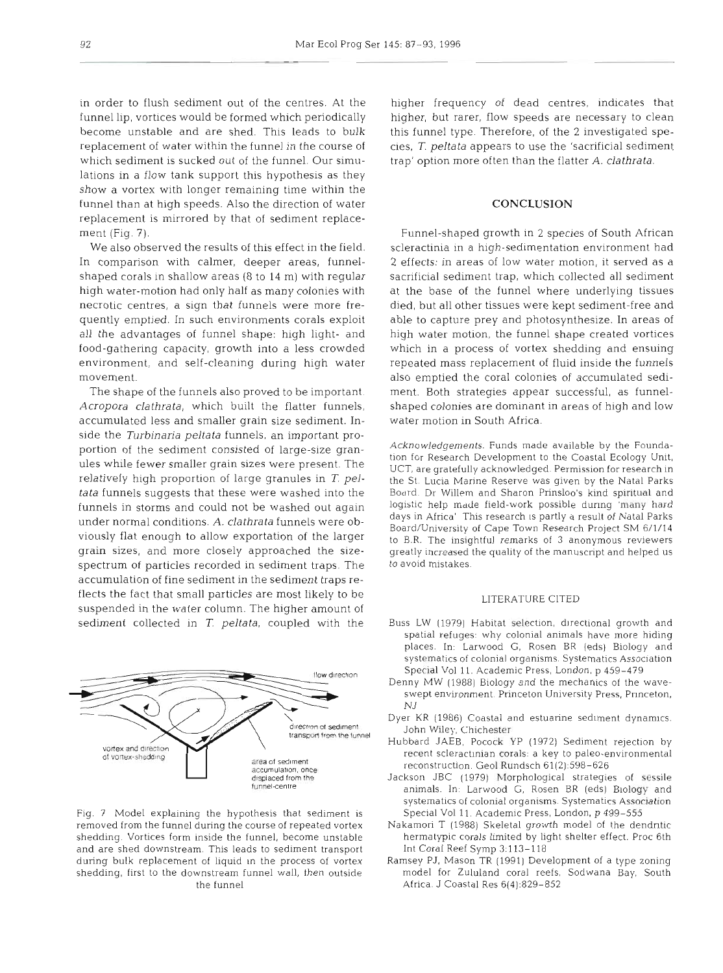in order to flush sediment out of the centres. At the higher frequency of dead centres, indicates that funnel lip, vortices would be formed which periodically higher, but rarer, flow speeds are necessary to clean become unstable and are shed. This leads to bulk this funnel type. Therefore, of the 2 investigated spereplacement of water within the funnel in the course of cies, *T. peltata* appears to use the 'sacrificial sediment which sediment is sucked out of the funnel. Our simu-<br>  $\frac{1}{2}$  trap' option more often than the flatter A. *clathrata*. lations in a flow tank support this hypothesis as they show a vortex with longer remaining time within the funnel than at high speeds. Also the direction of water replacement is mirrored by that of sediment replacement (Fig. 7). Funnel-shaped growth in 2 species of South African

In comparison with calmer, deeper areas, funnel- **2** effects: in areas of low water motion, it served as a shaped corals in shallow areas (8 to 14 m) with regular sacrificial sediment trap, which collected all sediment high water-motion had only half as many colonies with at the base of the funnel where underlying tissues necrotic centres, a sign that funnels were more fre-<br>died, but all other tissues were kept sediment-free and quently emptied. In such environments corals exploit able to capture prey and photosynthesize. In areas of all the advantages of funnel shape: high light- and high water motion, the funnel shape created vortices food-gathering capacity, growth into a less crowded which in a process of vortex shedding and ensuing environment, and self-cleaning during high water repeated mass replacement of fluid inside the funnels movement. also emptied the coral colonies of accumulated sedi-

*Acropora clathrata,* which built the flatter funnels, shaped colonies are dominant in areas of high and low accumulated less and smaller grain size sediment. In- water motion in South Africa. side the *Turbinaria peltafa* funnels, an important proportion of the sediment consisted of large-size gran-<br>ules while fewer smaller grain sizes were present. The<br> $\frac{ACknowledgements.}$  Funds made available by the Founda-<br>tion for Research Development to the Coastal Ecology Unit, ules wille fewer sinalier grain sizes were present. The UCT, are gratefully acknowledged. Permission for research in relatively high proportion of large granules in *T. pel-* the St. Lucia Marine Reserve was given by the N *tata* funnels suggests that these were washed into the Board. Dr Willem and Sharon Prinsloo's kind spiritual and funnels in storms and could not be washed out again logistic help made field-work possible during 'many hard<br>under normal conditions A, clathrata funnels were ob days in Africa' This research is partly a result of Natal Pa under normal conditions. A. clathrata funnels were ob-<br>viously flat enough to allow exportation of the larger<br>grain sizes, and more closely approached the size-<br>grain sizes, and more closely approached the size-<br>greatly in spectrum of particles recorded in sediment traps. The to avoid mistakes accumulation of fine sediment in the sediment traps reflects the fact that small particles are most likely to be LITERATURE CITED suspended in the water column. The higher amount of sediment collected in T *peltata,* coupled with the Buss LW (1979) Habitat selection, directional growth and



Fig. 7 Model explaining the hypothesis that sediment is removed from the funnel during the course of repeated vortex shedding. Vortices form inside the funnel, become unstable and are shed downstream. This leads to sediment transport during bulk replacement of liquid in the process of vortex shedding, first to the downstream funnel wall, then outside the funnel

### **CONCLUSION**

We also observed the results of this effect in the field. Scleractinia in a high-sedimentation environment had The shape of the funnels also proved to be important. ment. Both strategies appear successful, as funnel-

greatly increased the quality of the manuscript and helped us

- spatial refuges: why colonial animals have more hiding places. In: Larwood G, Rosen BR (eds) Biology and systematics of colonial organisms. Systematics Association Special Vol 11. Academic Press, London, p 459-479
- Denny MW (1988) Biology and the mechanics of the waveswept environment Princeton University Press, Pnnceton, NJ
- Dyer KR (1986) Coastal and estuarine sediment dynamics. John Wiley, Chichester
- Hubbard JAEB, Pocock YP (1972) Sediment rejection by recent scleractinian corals: a key to paleo-environmental reconstruction. Geol Rundsch 61(2):598-626
- Jackson JBC (1979) Morphological strategies of sessile animals. In: Larwood G, Rosen BR (eds) Biology and systematics of colonial organisms. Systematics Association Special Vol 11. Academic Press, London, p 499-555
- Nakamori T (1988) Skeletal growth model of the dendntic hermatypic corals limited by light shelter effect. Proc 6th Int Coral Reef Symp 3:113-118
- Ramsey PJ. Mason TR (1991) Development of a type zoning model for Zululand coral reefs. Sodwana Bay. South Africa. J Coastal Res 6(4):829-852